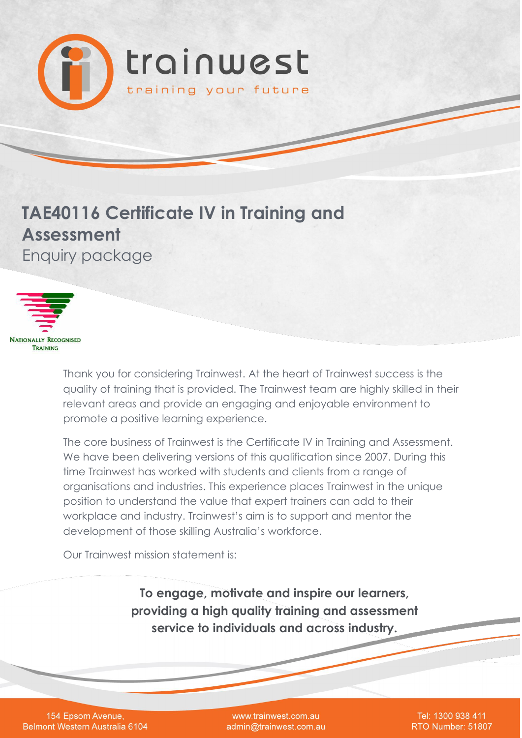

# **TAE40116 Certificate IV in Training and Assessment**

Enquiry package



Thank you for considering Trainwest. At the heart of Trainwest success is the quality of training that is provided. The Trainwest team are highly skilled in their relevant areas and provide an engaging and enjoyable environment to promote a positive learning experience.

The core business of Trainwest is the Certificate IV in Training and Assessment. We have been delivering versions of this qualification since 2007. During this time Trainwest has worked with students and clients from a range of organisations and industries. This experience places Trainwest in the unique position to understand the value that expert trainers can add to their workplace and industry. Trainwest's aim is to support and mentor the development of those skilling Australia's workforce.

Our Trainwest mission statement is:

**To engage, motivate and inspire our learners, providing a high quality training and assessment service to individuals and across industry.**

154 Epsom Avenue, **Belmont Western Australia 6104** 

www.trainwest.com.au admin@trainwest.com.au

Tel: 1300 938 411 RTO Number: 51807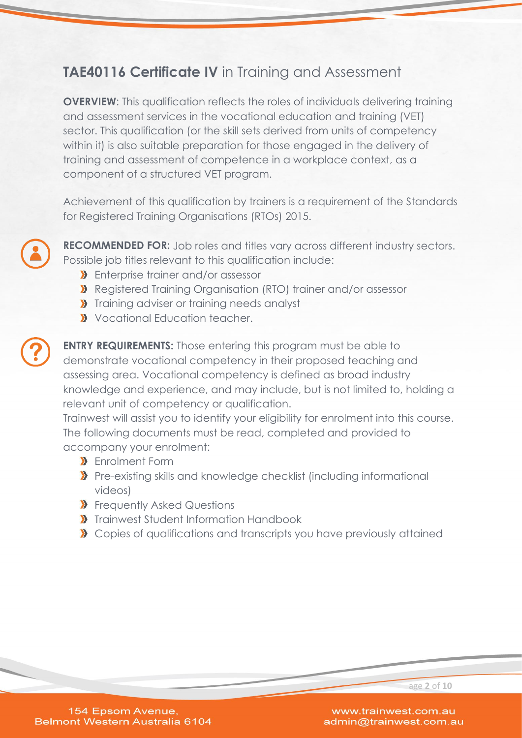# **TAE40116 Certificate IV** in Training and Assessment

**OVERVIEW:** This qualification reflects the roles of individuals delivering training and assessment services in the vocational education and training (VET) sector. This qualification (or the skill sets derived from units of competency within it) is also suitable preparation for those engaged in the delivery of training and assessment of competence in a workplace context, as a component of a structured VET program.

Achievement of this qualification by trainers is a requirement of the Standards for Registered Training Organisations (RTOs) 2015.

**RECOMMENDED FOR:** Job roles and titles vary across different industry sectors. Possible job titles relevant to this qualification include:

- **X** Enterprise trainer and/or assessor
- Registered Training Organisation (RTO) trainer and/or assessor
- **X** Training adviser or training needs analyst
- Vocational Education teacher.

**ENTRY REQUIREMENTS:** Those entering this program must be able to demonstrate vocational competency in their proposed teaching and assessing area. Vocational competency is defined as broad industry knowledge and experience, and may include, but is not limited to, holding a relevant unit of competency or qualification.

Trainwest will assist you to identify your eligibility for enrolment into this course. The following documents must be read, completed and provided to accompany your enrolment:

- **X** Enrolment Form
- **A** Pre-existing skills and knowledge checklist (including informational videos)
- **X** Frequently Asked Questions
- **X** Trainwest Student Information Handbook
- **X** Copies of qualifications and transcripts you have previously attained



154 Epsom Avenue, **Belmont Western Australia 6104**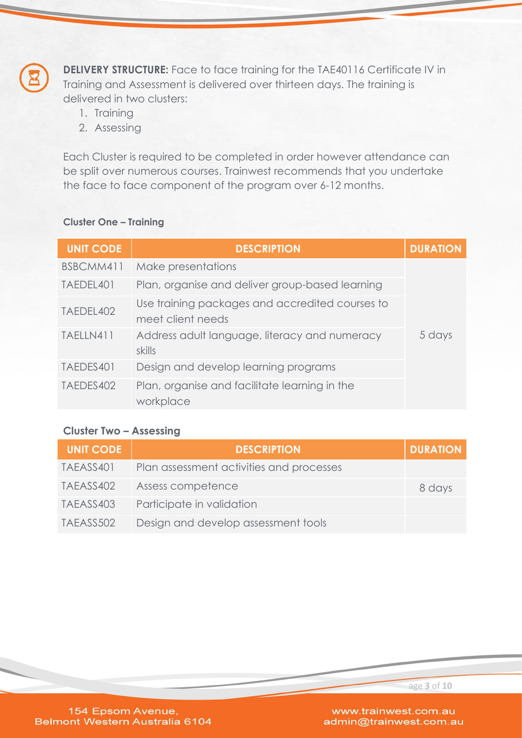

**DELIVERY STRUCTURE:** Face to face training for the TAE40116 Certificate IV in Training and Assessment is delivered over thirteen days. The training is delivered in two clusters:

- 1. Training
- 2. Assessing

Each Cluster is required to be completed in order however attendance can be split over numerous courses. Trainwest recommends that you undertake the face to face component of the program over 6-12 months.

#### **Cluster One – Training**

| <b>UNIT CODE</b> | <b>DESCRIPTION</b>                                                   | <b>DURATION</b> |
|------------------|----------------------------------------------------------------------|-----------------|
| BSBCMM411        | Make presentations                                                   |                 |
| TAEDEL401        | Plan, organise and deliver group-based learning                      |                 |
| TAEDEL402        | Use training packages and accredited courses to<br>meet client needs |                 |
| TAELLN411        | Address adult language, literacy and numeracy<br>skills              | 5 days          |
| TAEDES401        | Design and develop learning programs                                 |                 |
| TAEDES402        | Plan, organise and facilitate learning in the<br>workplace           |                 |

### **Cluster Two – Assessing**

| <b>UNIT CODE</b> | <b>DESCRIPTION</b>                       | <b>DURATION</b> |
|------------------|------------------------------------------|-----------------|
| TAEASS401        | Plan assessment activities and processes |                 |
| TAEASS402        | Assess competence                        | 8 days          |
| TAEASS403        | Participate in validation                |                 |
| TAEASS502        | Design and develop assessment tools      |                 |

age **3** of **10**

154 Epsom Avenue, **Belmont Western Australia 6104**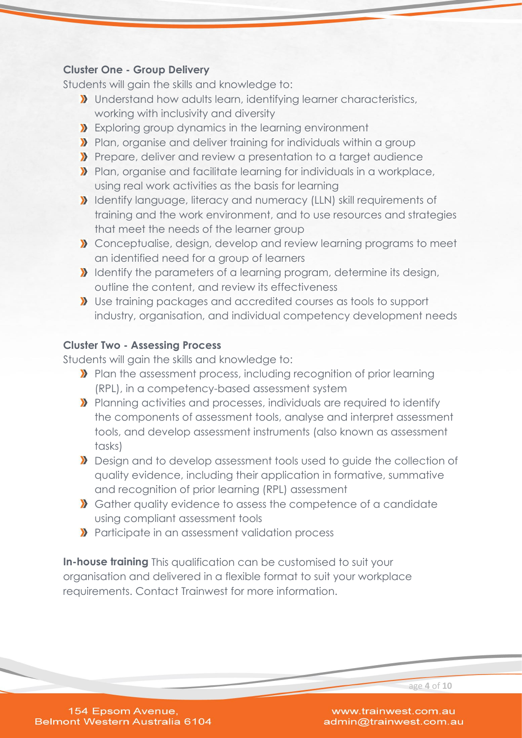#### **Cluster One - Group Delivery**

Students will gain the skills and knowledge to:

- **X** Understand how adults learn, identifying learner characteristics, working with inclusivity and diversity
- **X** Exploring group dynamics in the learning environment
- **>>** Plan, organise and deliver training for individuals within a group
- **Prepare, deliver and review a presentation to a target audience**
- **>>** Plan, organise and facilitate learning for individuals in a workplace, using real work activities as the basis for learning
- **If** Identify language, literacy and numeracy (LLN) skill requirements of training and the work environment, and to use resources and strategies that meet the needs of the learner group
- **X** Conceptualise, design, develop and review learning programs to meet an identified need for a group of learners
- If Identify the parameters of a learning program, determine its design, outline the content, and review its effectiveness
- Use training packages and accredited courses as tools to support industry, organisation, and individual competency development needs

#### **Cluster Two - Assessing Process**

Students will gain the skills and knowledge to:

- **>>** Plan the assessment process, including recognition of prior learning (RPL), in a competency-based assessment system
- **A** Planning activities and processes, individuals are required to identify the components of assessment tools, analyse and interpret assessment tools, and develop assessment instruments (also known as assessment tasks)
- **Design and to develop assessment tools used to guide the collection of** quality evidence, including their application in formative, summative and recognition of prior learning (RPL) assessment
- Scather quality evidence to assess the competence of a candidate using compliant assessment tools
- **>>** Participate in an assessment validation process

**In-house training** This qualification can be customised to suit your organisation and delivered in a flexible format to suit your workplace requirements. Contact Trainwest for more information.

age **4** of **10**

154 Epsom Avenue, **Belmont Western Australia 6104**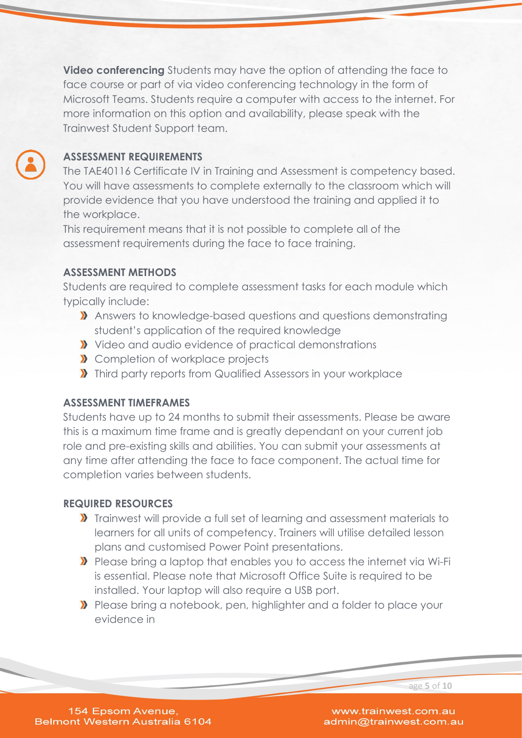**Video conferencing** Students may have the option of attending the face to face course or part of via video conferencing technology in the form of Microsoft Teams. Students require a computer with access to the internet. For more information on this option and availability, please speak with the Trainwest Student Support team.

# **ASSESSMENT REQUIREMENTS**

The TAE40116 Certificate IV in Training and Assessment is competency based. You will have assessments to complete externally to the classroom which will provide evidence that you have understood the training and applied it to the workplace.

This requirement means that it is not possible to complete all of the assessment requirements during the face to face training.

#### **ASSESSMENT METHODS**

Students are required to complete assessment tasks for each module which typically include:

- Answers to knowledge-based questions and questions demonstrating student's application of the required knowledge
- Video and audio evidence of practical demonstrations
- **X** Completion of workplace projects
- **X** Third party reports from Qualified Assessors in your workplace

### **ASSESSMENT TIMEFRAMES**

Students have up to 24 months to submit their assessments. Please be aware this is a maximum time frame and is greatly dependant on your current job role and pre-existing skills and abilities. You can submit your assessments at any time after attending the face to face component. The actual time for completion varies between students.

### **REQUIRED RESOURCES**

- **X** Trainwest will provide a full set of learning and assessment materials to learners for all units of competency. Trainers will utilise detailed lesson plans and customised Power Point presentations.
- **X** Please bring a laptop that enables you to access the internet via Wi-Fi is essential. Please note that Microsoft Office Suite is required to be installed. Your laptop will also require a USB port.
- **>>** Please bring a notebook, pen, highlighter and a folder to place your evidence in

age **5** of **10**

154 Epsom Avenue, **Belmont Western Australia 6104**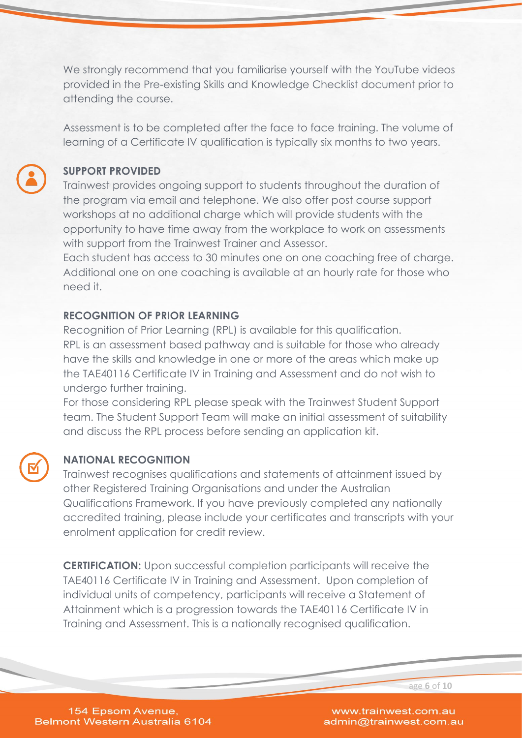We strongly recommend that you familiarise yourself with the YouTube videos provided in the Pre-existing Skills and Knowledge Checklist document prior to attending the course.

Assessment is to be completed after the face to face training. The volume of learning of a Certificate IV qualification is typically six months to two years.

### **SUPPORT PROVIDED**

Trainwest provides ongoing support to students throughout the duration of the program via email and telephone. We also offer post course support workshops at no additional charge which will provide students with the opportunity to have time away from the workplace to work on assessments with support from the Trainwest Trainer and Assessor.

Each student has access to 30 minutes one on one coaching free of charge. Additional one on one coaching is available at an hourly rate for those who need it.

#### **RECOGNITION OF PRIOR LEARNING**

Recognition of Prior Learning (RPL) is available for this qualification. RPL is an assessment based pathway and is suitable for those who already have the skills and knowledge in one or more of the areas which make up the TAE40116 Certificate IV in Training and Assessment and do not wish to undergo further training.

For those considering RPL please speak with the Trainwest Student Support team. The Student Support Team will make an initial assessment of suitability and discuss the RPL process before sending an application kit.



#### **NATIONAL RECOGNITION**

Trainwest recognises qualifications and statements of attainment issued by other Registered Training Organisations and under the Australian Qualifications Framework. If you have previously completed any nationally accredited training, please include your certificates and transcripts with your enrolment application for credit review.

**CERTIFICATION:** Upon successful completion participants will receive the TAE40116 Certificate IV in Training and Assessment. Upon completion of individual units of competency, participants will receive a Statement of Attainment which is a progression towards the TAE40116 Certificate IV in Training and Assessment. This is a nationally recognised qualification.

age **6** of **10**

154 Epsom Avenue, **Belmont Western Australia 6104**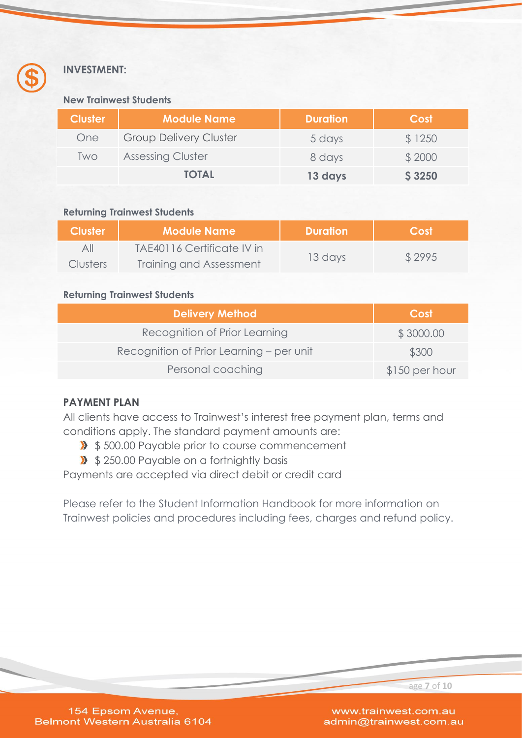

## **INVESTMENT:**

#### **New Trainwest Students**

| <b>Cluster</b> | <b>Module Name</b>            | <b>Duration</b> | Cost          |
|----------------|-------------------------------|-----------------|---------------|
| One            | <b>Group Delivery Cluster</b> | 5 days          | \$1250        |
| Two            | <b>Assessing Cluster</b>      | 8 days          | \$2000        |
|                | <b>TOTAL</b>                  | 13 days         | <b>\$3250</b> |

#### **Returning Trainwest Students**

| <b>Cluster</b> | <b>Module Name</b>         | <b>Duration</b> | Cost   |
|----------------|----------------------------|-----------------|--------|
| ΑIΙ            | TAE40116 Certificate IV in |                 |        |
| Clusters       | Training and Assessment    | 13 days         | \$2995 |

#### **Returning Trainwest Students**

| <b>Delivery Method</b>                   | Cost           |
|------------------------------------------|----------------|
| Recognition of Prior Learning            | \$3000.00      |
| Recognition of Prior Learning – per unit | \$300          |
| Personal coaching                        | \$150 per hour |

## **PAYMENT PLAN**

All clients have access to Trainwest's interest free payment plan, terms and conditions apply. The standard payment amounts are:

- **>>** \$500.00 Payable prior to course commencement
- **>>** \$250.00 Payable on a fortnightly basis

Payments are accepted via direct debit or credit card

Please refer to the Student Information Handbook for more information on Trainwest policies and procedures including fees, charges and refund policy.



154 Epsom Avenue, **Belmont Western Australia 6104**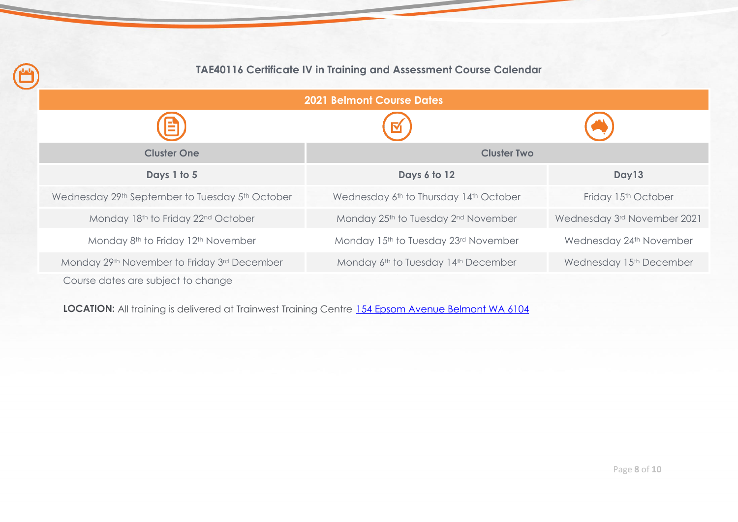|                                                                         | <b>TAE40116 Certificate IV in Training and Assessment Course Calendar</b> |                                     |  |
|-------------------------------------------------------------------------|---------------------------------------------------------------------------|-------------------------------------|--|
| <b>2021 Belmont Course Dates</b>                                        |                                                                           |                                     |  |
|                                                                         |                                                                           |                                     |  |
| <b>Cluster One</b>                                                      | <b>Cluster Two</b>                                                        |                                     |  |
| Days 1 to 5                                                             | Days 6 to 12                                                              | Day13                               |  |
| Wednesday 29 <sup>th</sup> September to Tuesday 5 <sup>th</sup> October | Wednesday 6th to Thursday 14th October                                    | Friday 15 <sup>th</sup> October     |  |
| Monday 18th to Friday 22nd October                                      | Monday 25th to Tuesday 2nd November                                       | Wednesday 3rd November 2021         |  |
| Monday 8 <sup>th</sup> to Friday 12 <sup>th</sup> November              | Monday 15th to Tuesday 23rd November                                      | Wednesday 24 <sup>th</sup> November |  |
| Monday 29th November to Friday 3rd December                             | Monday 6th to Tuesday 14th December                                       | Wednesday 15th December             |  |
| Course dates are subject to change                                      |                                                                           |                                     |  |

LOCATION: All training is delivered at Trainwest Training Centre [154 Epsom Avenue Belmont WA 6104](https://www.google.com.au/maps/place/154+Epsom+Ave,+Belmont+WA+6104/@-31.9433894,115.9378018,17z/data=!3m1!4b1!4m5!3m4!1s0x2a32bbd15842decd:0x73af3c0522e0a1a3!8m2!3d-31.9433894!4d115.9399905)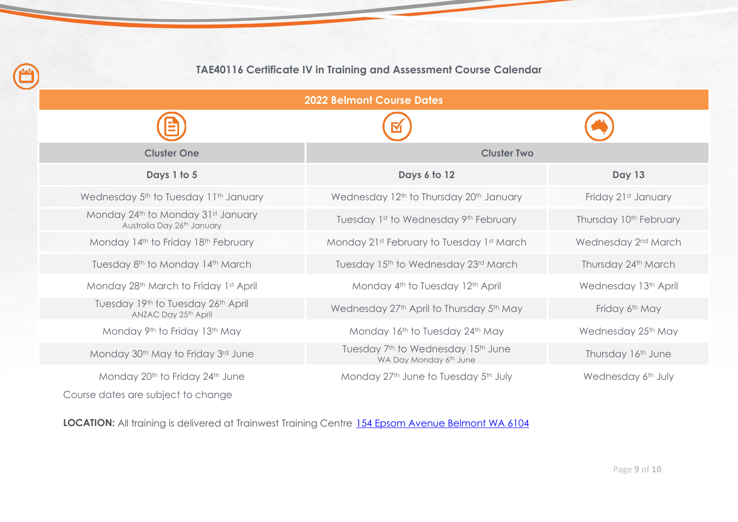| <b>TAE40116 Certificate IV in Training and Assessment Course Calendar</b> |                                                                                      |                                 |  |
|---------------------------------------------------------------------------|--------------------------------------------------------------------------------------|---------------------------------|--|
| <b>2022 Belmont Course Dates</b>                                          |                                                                                      |                                 |  |
|                                                                           |                                                                                      |                                 |  |
| <b>Cluster One</b>                                                        | <b>Cluster Two</b>                                                                   |                                 |  |
| Days 1 to 5                                                               | Days 6 to 12                                                                         | <b>Day 13</b>                   |  |
| Wednesday 5 <sup>th</sup> to Tuesday 11 <sup>th</sup> January             | Wednesday 12 <sup>th</sup> to Thursday 20 <sup>th</sup> January                      | Friday 21st January             |  |
| Monday 24th to Monday 31st January<br>Australia Day 26th January          | Tuesday 1st to Wednesday 9th February                                                | Thursday 10th February          |  |
| Monday 14th to Friday 18th February                                       | Monday 21st February to Tuesday 1st March                                            | Wednesday 2 <sup>nd</sup> March |  |
| Tuesday 8 <sup>th</sup> to Monday 14 <sup>th</sup> March                  | Tuesday 15th to Wednesday 23rd March                                                 | Thursday 24th March             |  |
| Monday 28 <sup>th</sup> March to Friday 1st April                         | Monday 4th to Tuesday 12th April                                                     | Wednesday 13th April            |  |
| Tuesday 19th to Tuesday 26th April<br>ANZAC Day 25th April                | Wednesday 27th April to Thursday 5th May                                             | Friday 6th May                  |  |
| Monday 9th to Friday 13th May                                             | Monday 16th to Tuesday 24th May                                                      | Wednesday 25th May              |  |
| Monday 30 <sup>th</sup> May to Friday 3rd June                            | Tuesday 7 <sup>th</sup> to Wednesday 15 <sup>th</sup> June<br>WA Day Monday 6th June | Thursday 16th June              |  |
| Monday 20 <sup>th</sup> to Friday 24 <sup>th</sup> June                   | Monday 27th June to Tuesday 5th July                                                 | Wednesday 6th July              |  |
| Course dates are subject to change                                        |                                                                                      |                                 |  |

LOCATION: All training is delivered at Trainwest Training Centre [154 Epsom Avenue Belmont WA 6104](https://www.google.com.au/maps/place/154+Epsom+Ave,+Belmont+WA+6104/@-31.9433894,115.9378018,17z/data=!3m1!4b1!4m5!3m4!1s0x2a32bbd15842decd:0x73af3c0522e0a1a3!8m2!3d-31.9433894!4d115.9399905)